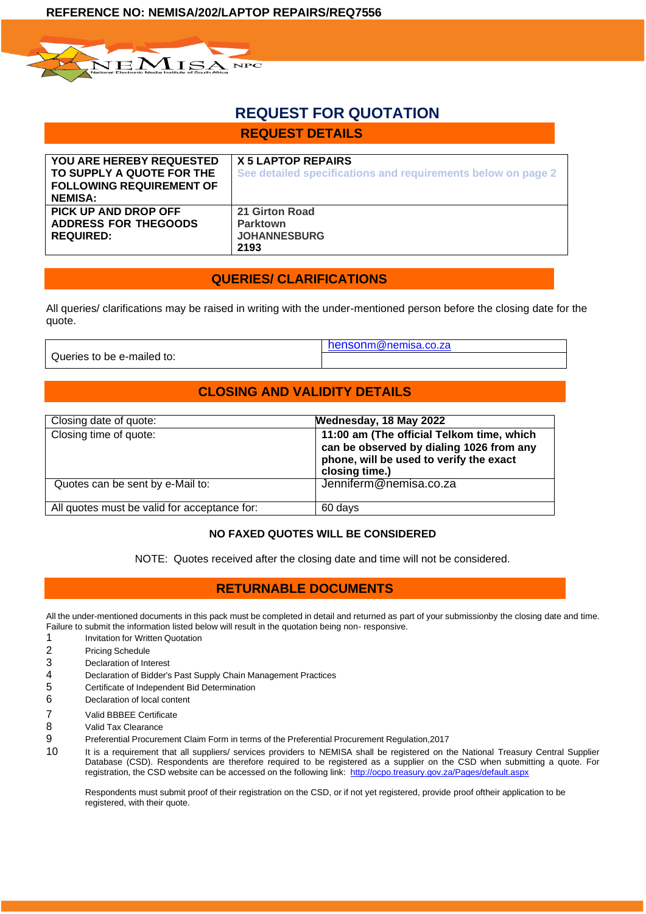

# **REQUEST FOR QUOTATION**

# **REQUEST DETAILS**

| <b>YOU ARE HEREBY REQUESTED</b><br>TO SUPPLY A QUOTE FOR THE<br><b>FOLLOWING REQUIREMENT OF</b><br><b>NEMISA:</b> | X 5 LAPTOP REPAIRS<br>See detailed specifications and requirements below on page 2 |
|-------------------------------------------------------------------------------------------------------------------|------------------------------------------------------------------------------------|
| PICK UP AND DROP OFF<br><b>ADDRESS FOR THEGOODS</b><br><b>REQUIRED:</b>                                           | 21 Girton Road<br>Parktown<br><b>JOHANNESBURG</b><br>2193                          |

# **QUERIES/ CLARIFICATIONS**

All queries/ clarifications may be raised in writing with the under-mentioned person before the closing date for the quote.

Queries to be e-mailed to:

[henson](mailto:hensonm@nemisa.co.za)[m@nemisa.co.za](mailto:hensonm@nemisa.co.za)

# **CLOSING AND VALIDITY DETAILS**

| Closing date of quote:                       | Wednesday, 18 May 2022                                                                                                                             |
|----------------------------------------------|----------------------------------------------------------------------------------------------------------------------------------------------------|
| Closing time of quote:                       | 11:00 am (The official Telkom time, which<br>can be observed by dialing 1026 from any<br>phone, will be used to verify the exact<br>closing time.) |
| Quotes can be sent by e-Mail to:             | Jenniferm@nemisa.co.za                                                                                                                             |
| All quotes must be valid for acceptance for: | 60 days                                                                                                                                            |

# **NO FAXED QUOTES WILL BE CONSIDERED**

NOTE: Quotes received after the closing date and time will not be considered.

# **RETURNABLE DOCUMENTS**

All the under-mentioned documents in this pack must be completed in detail and returned as part of your submissionby the closing date and time. Failure to submit the information listed below will result in the quotation being non- responsive.

- 1 **Invitation for Written Quotation**
- 2 Pricing Schedule
- 3 Declaration of Interest
- 4 Declaration of Bidder's Past Supply Chain Management Practices
- 5 Certificate of Independent Bid Determination
- 6 Declaration of local content
- 7 Valid BBBEE Certificate
- 8 Valid Tax Clearance
- 9 Preferential Procurement Claim Form in terms of the Preferential Procurement Regulation,2017
- 10 It is a requirement that all suppliers/ services providers to NEMISA shall be registered on the National Treasury Central Supplier Database (CSD). Respondents are therefore required to be registered as a supplier on the CSD when submitting a quote. For registration, the CSD website can be accessed on the following link:<http://ocpo.treasury.gov.za/Pages/default.aspx>

Respondents must submit proof of their registration on the CSD, or if not yet registered, provide proof oftheir application to be registered, with their quote.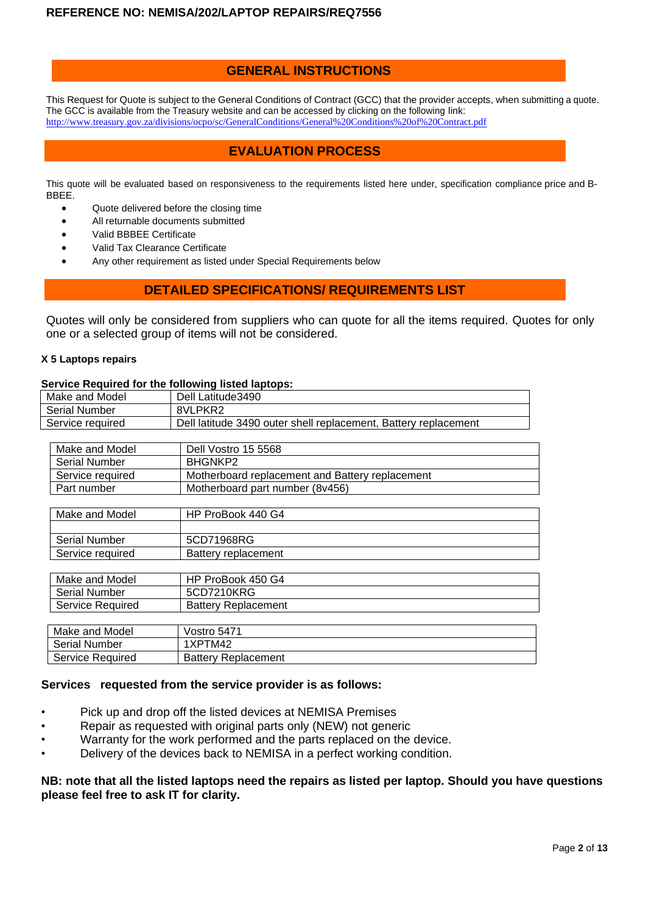# **GENERAL INSTRUCTIONS**

This Request for Quote is subject to the General Conditions of Contract (GCC) that the provider accepts, when submitting a quote. The GCC is available from the Treasury website and can be accessed by clicking on the following link: <http://www.treasury.gov.za/divisions/ocpo/sc/GeneralConditions/General%20Conditions%20of%20Contract.pdf>

# **EVALUATION PROCESS**

This quote will be evaluated based on responsiveness to the requirements listed here under, specification compliance price and B-BBEE.

- Quote delivered before the closing time
- All returnable documents submitted
- Valid BBBEE Certificate
- Valid Tax Clearance Certificate
	- Any other requirement as listed under Special Requirements below

## **DETAILED SPECIFICATIONS/ REQUIREMENTS LIST**

Quotes will only be considered from suppliers who can quote for all the items required. Quotes for only one or a selected group of items will not be considered.

#### **X 5 Laptops repairs**

### **Service Required for the following listed laptops:**

| Make and Model<br>Dell Latitude 3490                                                |                                                 |  |
|-------------------------------------------------------------------------------------|-------------------------------------------------|--|
| <b>Serial Number</b>                                                                | 8VLPKR2                                         |  |
| Dell latitude 3490 outer shell replacement, Battery replacement<br>Service required |                                                 |  |
|                                                                                     |                                                 |  |
| Make and Model                                                                      | Dell Vostro 15 5568                             |  |
| <b>Serial Number</b>                                                                | BHGNKP2                                         |  |
| Service required                                                                    | Motherboard replacement and Battery replacement |  |
| Part number                                                                         | Motherboard part number (8v456)                 |  |

| Make and Model       | HP ProBook 440 G4   |
|----------------------|---------------------|
|                      |                     |
| <b>Serial Number</b> | 5CD71968RG          |
| Service required     | Battery replacement |

| Make and Model       | HP ProBook 450 G4          |
|----------------------|----------------------------|
| <b>Serial Number</b> | 5CD7210KRG                 |
| Service Required     | <b>Battery Replacement</b> |
|                      |                            |

| Make and Model       | Vostro 5471                |
|----------------------|----------------------------|
| <b>Serial Number</b> | 1XPTM42                    |
| Service Required     | <b>Battery Replacement</b> |

## **Services requested from the service provider is as follows:**

- Pick up and drop off the listed devices at NEMISA Premises
- Repair as requested with original parts only (NEW) not generic
- Warranty for the work performed and the parts replaced on the device.
- Delivery of the devices back to NEMISA in a perfect working condition.

### **NB: note that all the listed laptops need the repairs as listed per laptop. Should you have questions please feel free to ask IT for clarity.**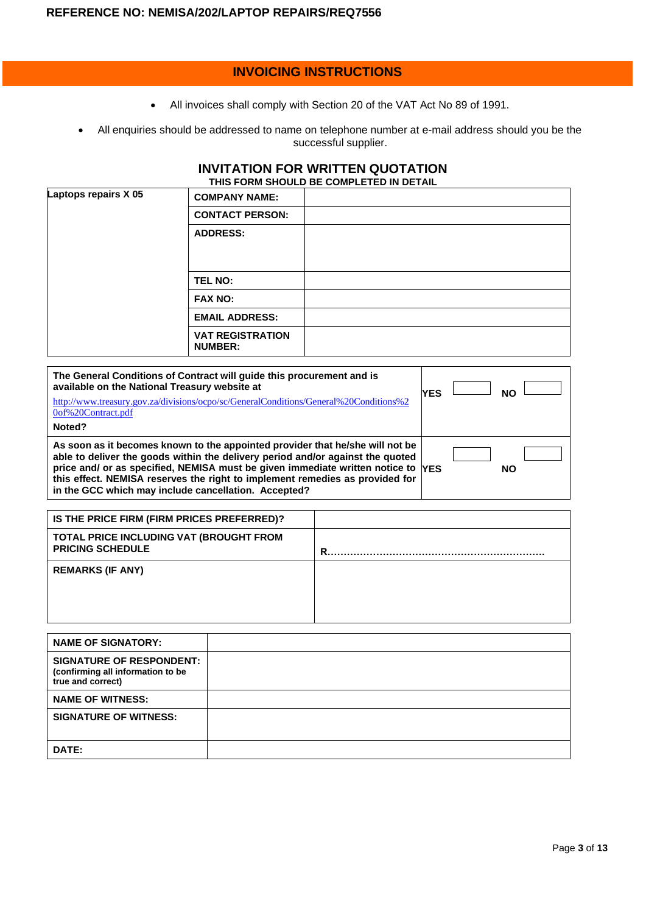# **INVOICING INSTRUCTIONS**

- All invoices shall comply with Section 20 of the VAT Act No 89 of 1991.
- All enquiries should be addressed to name on telephone number at e-mail address should you be the successful supplier.

### **INVITATION FOR WRITTEN QUOTATION THIS FORM SHOULD BE COMPLETED IN DETAIL**

| Laptops repairs X 05 | <b>COMPANY NAME:</b>                      |  |
|----------------------|-------------------------------------------|--|
|                      | <b>CONTACT PERSON:</b>                    |  |
|                      | <b>ADDRESS:</b>                           |  |
|                      | <b>TEL NO:</b>                            |  |
|                      | <b>FAX NO:</b>                            |  |
|                      | <b>EMAIL ADDRESS:</b>                     |  |
|                      | <b>VAT REGISTRATION</b><br><b>NUMBER:</b> |  |

| The General Conditions of Contract will guide this procurement and is<br>available on the National Treasury website at<br>http://www.treasury.gov.za/divisions/ocpo/sc/GeneralConditions/General%20Conditions%2<br>0of%20Contract.pdf                                                                                                                                                       | <b>YES</b> | <b>NO</b> |  |
|---------------------------------------------------------------------------------------------------------------------------------------------------------------------------------------------------------------------------------------------------------------------------------------------------------------------------------------------------------------------------------------------|------------|-----------|--|
| Noted?                                                                                                                                                                                                                                                                                                                                                                                      |            |           |  |
| As soon as it becomes known to the appointed provider that he/she will not be<br>able to deliver the goods within the delivery period and/or against the quoted<br>price and/ or as specified, NEMISA must be given immediate written notice to YES<br>this effect. NEMISA reserves the right to implement remedies as provided for<br>in the GCC which may include cancellation. Accepted? |            | <b>NO</b> |  |

| IS THE PRICE FIRM (FIRM PRICES PREFERRED)?                         |   |
|--------------------------------------------------------------------|---|
| TOTAL PRICE INCLUDING VAT (BROUGHT FROM<br><b>PRICING SCHEDULE</b> | R |
| <b>REMARKS (IF ANY)</b>                                            |   |

| <b>NAME OF SIGNATORY:</b>                                                                 |  |
|-------------------------------------------------------------------------------------------|--|
| <b>SIGNATURE OF RESPONDENT:</b><br>(confirming all information to be<br>true and correct) |  |
| <b>NAME OF WITNESS:</b>                                                                   |  |
| <b>SIGNATURE OF WITNESS:</b>                                                              |  |
| DATE:                                                                                     |  |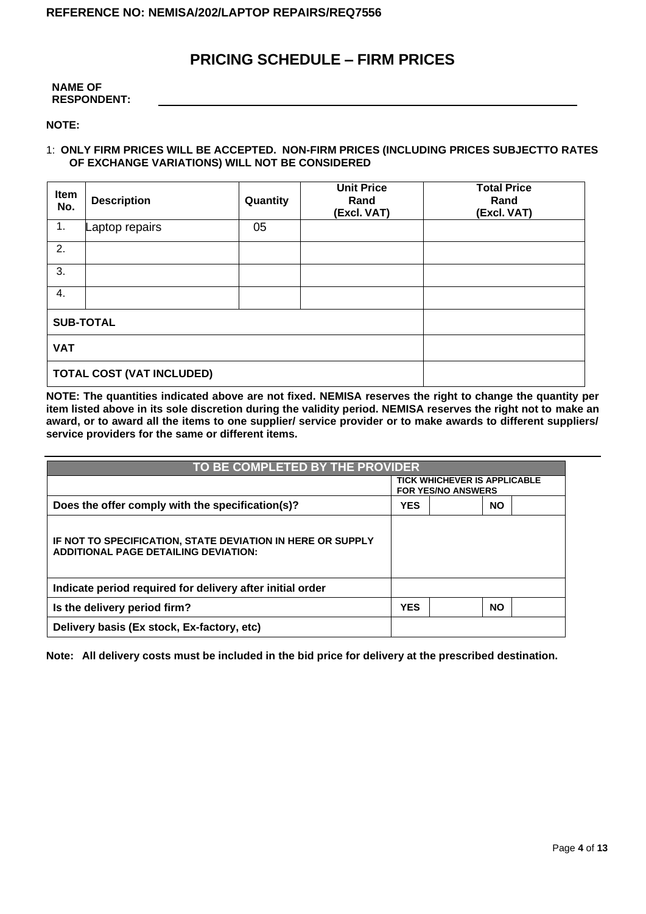# **PRICING SCHEDULE – FIRM PRICES**

| <b>NAME OF</b>     |
|--------------------|
| <b>RESPONDENT:</b> |

**NOTE:**

### 1: **ONLY FIRM PRICES WILL BE ACCEPTED. NON-FIRM PRICES (INCLUDING PRICES SUBJECTTO RATES OF EXCHANGE VARIATIONS) WILL NOT BE CONSIDERED**

| Item<br>No.                      | <b>Description</b> | Quantity | <b>Unit Price</b><br>Rand<br>(Excl. VAT) | <b>Total Price</b><br>Rand<br>(Excl. VAT) |
|----------------------------------|--------------------|----------|------------------------------------------|-------------------------------------------|
| 1.                               | Laptop repairs     | 05       |                                          |                                           |
| 2.                               |                    |          |                                          |                                           |
| 3.                               |                    |          |                                          |                                           |
| 4.                               |                    |          |                                          |                                           |
| <b>SUB-TOTAL</b>                 |                    |          |                                          |                                           |
| <b>VAT</b>                       |                    |          |                                          |                                           |
| <b>TOTAL COST (VAT INCLUDED)</b> |                    |          |                                          |                                           |

**NOTE: The quantities indicated above are not fixed. NEMISA reserves the right to change the quantity per item listed above in its sole discretion during the validity period. NEMISA reserves the right not to make an award, or to award all the items to one supplier/ service provider or to make awards to different suppliers/ service providers for the same or different items.**

| TO BE COMPLETED BY THE PROVIDER                                                                           |            |                                                                  |           |
|-----------------------------------------------------------------------------------------------------------|------------|------------------------------------------------------------------|-----------|
|                                                                                                           |            | <b>TICK WHICHEVER IS APPLICABLE</b><br><b>FOR YES/NO ANSWERS</b> |           |
| Does the offer comply with the specification(s)?                                                          | <b>YES</b> |                                                                  | <b>NO</b> |
| IF NOT TO SPECIFICATION, STATE DEVIATION IN HERE OR SUPPLY<br><b>ADDITIONAL PAGE DETAILING DEVIATION:</b> |            |                                                                  |           |
| Indicate period required for delivery after initial order                                                 |            |                                                                  |           |
| Is the delivery period firm?                                                                              | <b>YES</b> |                                                                  | <b>NO</b> |
| Delivery basis (Ex stock, Ex-factory, etc)                                                                |            |                                                                  |           |

**Note: All delivery costs must be included in the bid price for delivery at the prescribed destination.**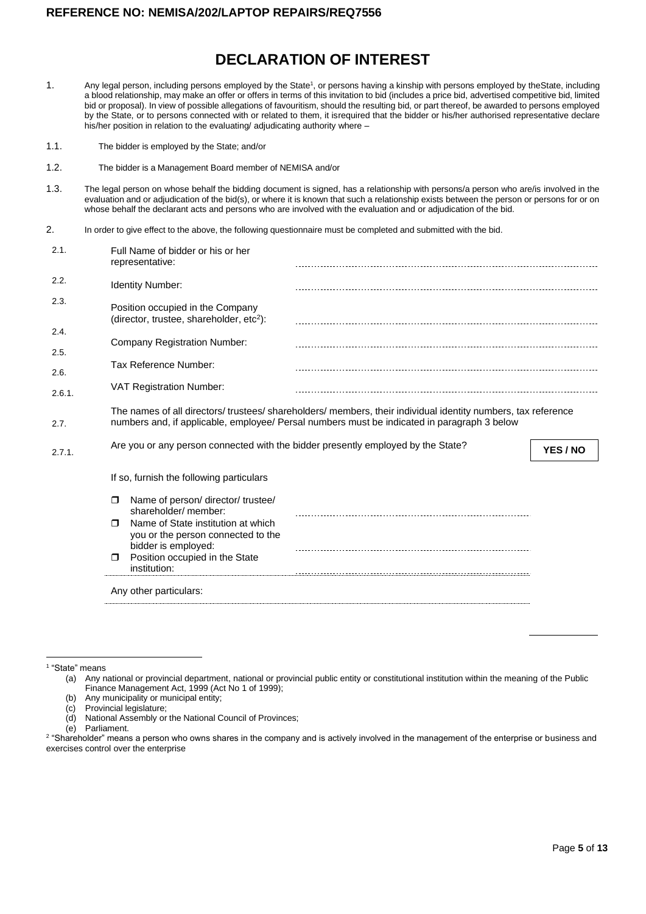# **DECLARATION OF INTEREST**

- 1. Any legal person, including persons employed by the State<sup>1</sup>, or persons having a kinship with persons employed by theState, including a blood relationship, may make an offer or offers in terms of this invitation to bid (includes a price bid, advertised competitive bid, limited bid or proposal). In view of possible allegations of favouritism, should the resulting bid, or part thereof, be awarded to persons employed by the State, or to persons connected with or related to them, it isrequired that the bidder or his/her authorised representative declare his/her position in relation to the evaluating/ adjudicating authority where –
- 1.1. The bidder is employed by the State; and/or
- 1.2. The bidder is a Management Board member of NEMISA and/or
- 1.3. The legal person on whose behalf the bidding document is signed, has a relationship with persons/a person who are/is involved in the evaluation and or adjudication of the bid(s), or where it is known that such a relationship exists between the person or persons for or on whose behalf the declarant acts and persons who are involved with the evaluation and or adjudication of the bid.
- 2. In order to give effect to the above, the following questionnaire must be completed and submitted with the bid.

| 2.1.         | Full Name of bidder or his or her<br>representative:                                                      |                                                                                                                                                                                                           |          |
|--------------|-----------------------------------------------------------------------------------------------------------|-----------------------------------------------------------------------------------------------------------------------------------------------------------------------------------------------------------|----------|
| 2.2.         | <b>Identity Number:</b>                                                                                   |                                                                                                                                                                                                           |          |
| 2.3.         | Position occupied in the Company<br>(director, trustee, shareholder, etc <sup>2</sup> ):                  |                                                                                                                                                                                                           |          |
| 2.4.         | <b>Company Registration Number:</b>                                                                       |                                                                                                                                                                                                           |          |
| 2.5.<br>2.6. | Tax Reference Number:                                                                                     |                                                                                                                                                                                                           |          |
| 2.6.1.       | <b>VAT Registration Number:</b>                                                                           |                                                                                                                                                                                                           |          |
| 2.7.         |                                                                                                           | The names of all directors/trustees/shareholders/members, their individual identity numbers, tax reference<br>numbers and, if applicable, employee/ Persal numbers must be indicated in paragraph 3 below |          |
| 2.7.1.       | Are you or any person connected with the bidder presently employed by the State?                          |                                                                                                                                                                                                           | YES / NO |
|              | If so, furnish the following particulars                                                                  |                                                                                                                                                                                                           |          |
|              | Name of person/ director/ trustee/<br>$\Box$<br>shareholder/ member:                                      |                                                                                                                                                                                                           |          |
|              | Name of State institution at which<br>$\Box$<br>you or the person connected to the<br>bidder is employed: |                                                                                                                                                                                                           |          |
|              | Position occupied in the State<br>$\Box$<br>institution:                                                  |                                                                                                                                                                                                           |          |
|              |                                                                                                           |                                                                                                                                                                                                           |          |
|              | Any other particulars:                                                                                    |                                                                                                                                                                                                           |          |

- (b) Any municipality or municipal entity;
	-

(e) Parliament.

<sup>1</sup> "State" means

<sup>(</sup>a) Any national or provincial department, national or provincial public entity or constitutional institution within the meaning of the Public Finance Management Act, 1999 (Act No 1 of 1999);

<sup>(</sup>c) Provincial legislature;<br>(d) National Assembly or National Assembly or the National Council of Provinces;

<sup>&</sup>lt;sup>2</sup> "Shareholder" means a person who owns shares in the company and is actively involved in the management of the enterprise or business and exercises control over the enterprise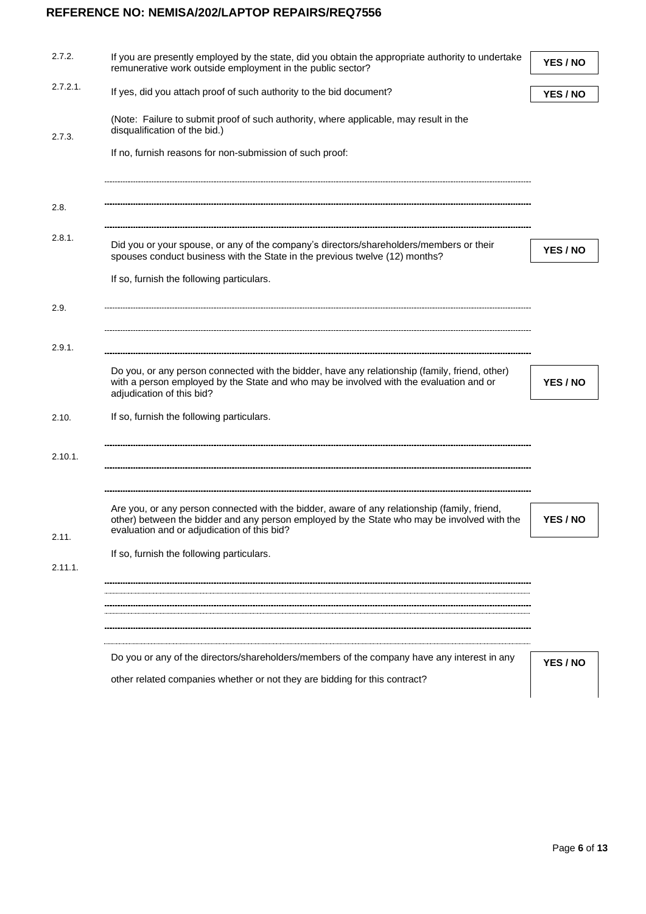|             | If you are presently employed by the state, did you obtain the appropriate authority to undertake<br>remunerative work outside employment in the public sector?                                                                            | YES / NO |
|-------------|--------------------------------------------------------------------------------------------------------------------------------------------------------------------------------------------------------------------------------------------|----------|
| $2.7.2.1$ . | If yes, did you attach proof of such authority to the bid document?                                                                                                                                                                        | YES / NO |
|             | (Note: Failure to submit proof of such authority, where applicable, may result in the<br>disqualification of the bid.)                                                                                                                     |          |
|             | If no, furnish reasons for non-submission of such proof:                                                                                                                                                                                   |          |
|             |                                                                                                                                                                                                                                            |          |
|             | Did you or your spouse, or any of the company's directors/shareholders/members or their                                                                                                                                                    | YES / NO |
|             | spouses conduct business with the State in the previous twelve (12) months?                                                                                                                                                                |          |
|             | If so, furnish the following particulars.                                                                                                                                                                                                  |          |
|             |                                                                                                                                                                                                                                            |          |
|             |                                                                                                                                                                                                                                            |          |
|             | Do you, or any person connected with the bidder, have any relationship (family, friend, other)<br>with a person employed by the State and who may be involved with the evaluation and or<br>adjudication of this bid?                      | YES / NO |
|             | If so, furnish the following particulars.                                                                                                                                                                                                  |          |
|             |                                                                                                                                                                                                                                            |          |
|             |                                                                                                                                                                                                                                            |          |
|             | Are you, or any person connected with the bidder, aware of any relationship (family, friend,<br>other) between the bidder and any person employed by the State who may be involved with the<br>evaluation and or adjudication of this bid? | YES / NO |
|             | If so, furnish the following particulars.                                                                                                                                                                                                  |          |
|             |                                                                                                                                                                                                                                            |          |
|             |                                                                                                                                                                                                                                            |          |
|             | Do you or any of the directors/shareholders/members of the company have any interest in any                                                                                                                                                |          |
|             | other related companies whether or not they are bidding for this contract?                                                                                                                                                                 | YES / NO |
|             |                                                                                                                                                                                                                                            |          |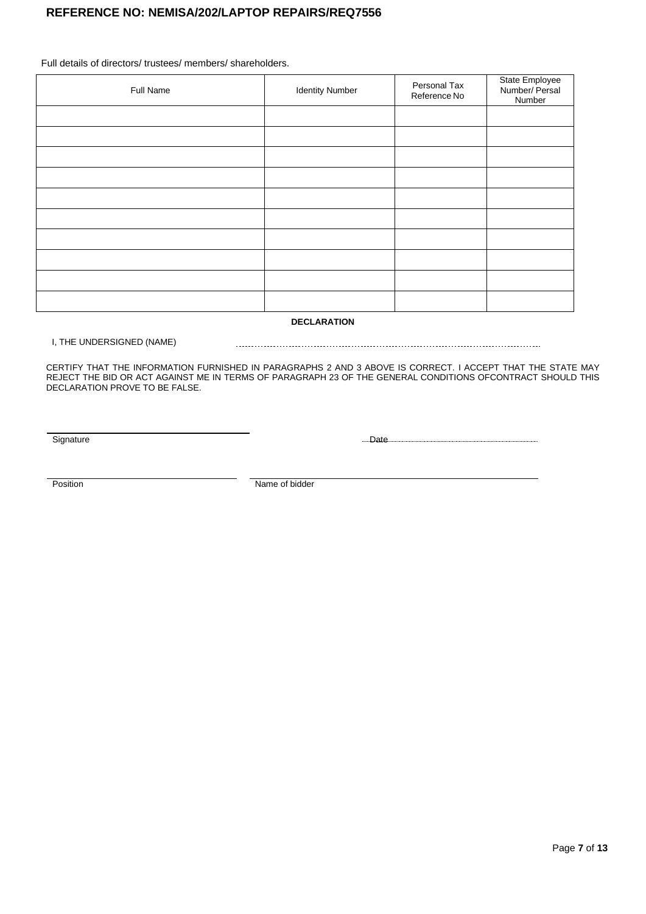Full details of directors/ trustees/ members/ shareholders.

| Full Name | <b>Identity Number</b> | Personal Tax<br>Reference No | State Employee<br>Number/ Persal<br>Number |
|-----------|------------------------|------------------------------|--------------------------------------------|
|           |                        |                              |                                            |
|           |                        |                              |                                            |
|           |                        |                              |                                            |
|           |                        |                              |                                            |
|           |                        |                              |                                            |
|           |                        |                              |                                            |
|           |                        |                              |                                            |
|           |                        |                              |                                            |
|           |                        |                              |                                            |
|           |                        |                              |                                            |

**DECLARATION**

#### I, THE UNDERSIGNED (NAME)

CERTIFY THAT THE INFORMATION FURNISHED IN PARAGRAPHS 2 AND 3 ABOVE IS CORRECT. I ACCEPT THAT THE STATE MAY REJECT THE BID OR ACT AGAINST ME IN TERMS OF PARAGRAPH 23 OF THE GENERAL CONDITIONS OFCONTRACT SHOULD THIS DECLARATION PROVE TO BE FALSE.

Signature Date Date Date

Position Name of bidder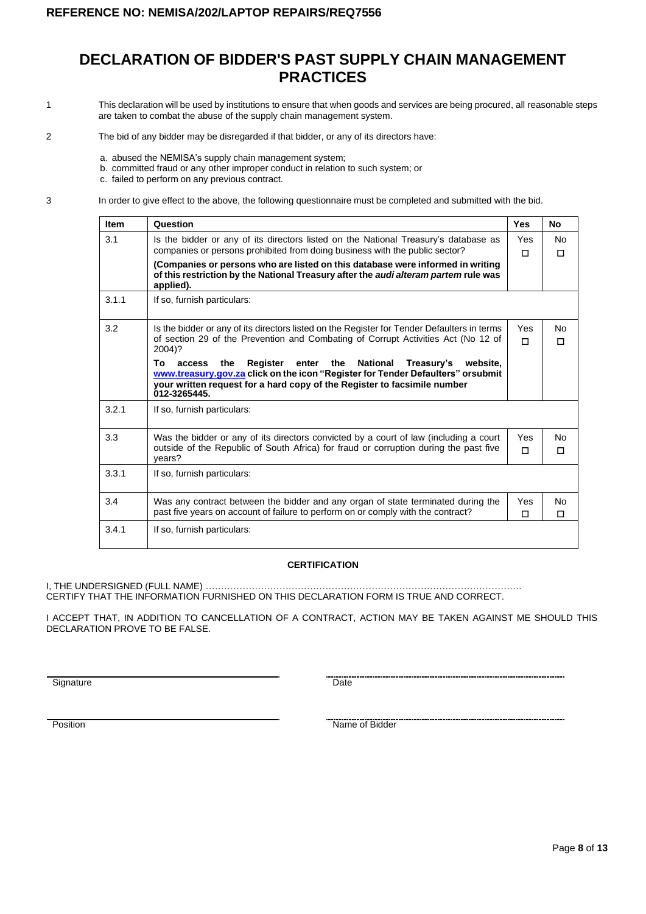# **DECLARATION OF BIDDER'S PAST SUPPLY CHAIN MANAGEMENT PRACTICES**

- 1 This declaration will be used by institutions to ensure that when goods and services are being procured, all reasonable steps are taken to combat the abuse of the supply chain management system.
- 2 The bid of any bidder may be disregarded if that bidder, or any of its directors have:
	- a. abused the NEMISA's supply chain management system;
	- b. committed fraud or any other improper conduct in relation to such system; or
	- c. failed to perform on any previous contract.

3 In order to give effect to the above, the following questionnaire must be completed and submitted with the bid.

| <b>Item</b> | Question                                                                                                                                                                                                                                                                                                                                                                                                                                                        | Yes      | <b>No</b>           |
|-------------|-----------------------------------------------------------------------------------------------------------------------------------------------------------------------------------------------------------------------------------------------------------------------------------------------------------------------------------------------------------------------------------------------------------------------------------------------------------------|----------|---------------------|
| 3.1         | Is the bidder or any of its directors listed on the National Treasury's database as<br>companies or persons prohibited from doing business with the public sector?<br>(Companies or persons who are listed on this database were informed in writing<br>of this restriction by the National Treasury after the audi alteram partem rule was<br>applied).                                                                                                        | Yes<br>п | N <sub>0</sub><br>П |
| 3.1.1       | If so, furnish particulars:                                                                                                                                                                                                                                                                                                                                                                                                                                     |          |                     |
| 3.2         | Is the bidder or any of its directors listed on the Register for Tender Defaulters in terms<br>of section 29 of the Prevention and Combating of Corrupt Activities Act (No 12 of<br>2004)?<br>Register<br>enter the<br>National<br>To<br>the<br>Treasury's<br>access<br>website.<br>www.treasury.gov.za click on the icon "Register for Tender Defaulters" orsubmit<br>your written request for a hard copy of the Register to facsimile number<br>012-3265445. | Yes<br>п | No<br>П             |
| 3.2.1       | If so, furnish particulars:                                                                                                                                                                                                                                                                                                                                                                                                                                     |          |                     |
| 3.3         | Was the bidder or any of its directors convicted by a court of law (including a court<br>outside of the Republic of South Africa) for fraud or corruption during the past five<br>years?                                                                                                                                                                                                                                                                        | Yes<br>П | No<br>П             |
| 3.3.1       | If so, furnish particulars:                                                                                                                                                                                                                                                                                                                                                                                                                                     |          |                     |
| 3.4         | Was any contract between the bidder and any organ of state terminated during the<br>past five years on account of failure to perform on or comply with the contract?                                                                                                                                                                                                                                                                                            | Yes<br>п | No<br>П             |
| 3.4.1       | If so, furnish particulars:                                                                                                                                                                                                                                                                                                                                                                                                                                     |          |                     |

#### **CERTIFICATION**

I, THE UNDERSIGNED (FULL NAME) …………………………………………………………………………………………. CERTIFY THAT THE INFORMATION FURNISHED ON THIS DECLARATION FORM IS TRUE AND CORRECT.

I ACCEPT THAT, IN ADDITION TO CANCELLATION OF A CONTRACT, ACTION MAY BE TAKEN AGAINST ME SHOULD THIS DECLARATION PROVE TO BE FALSE.

Signature Date

Position **Name of Bidder** Name of Bidder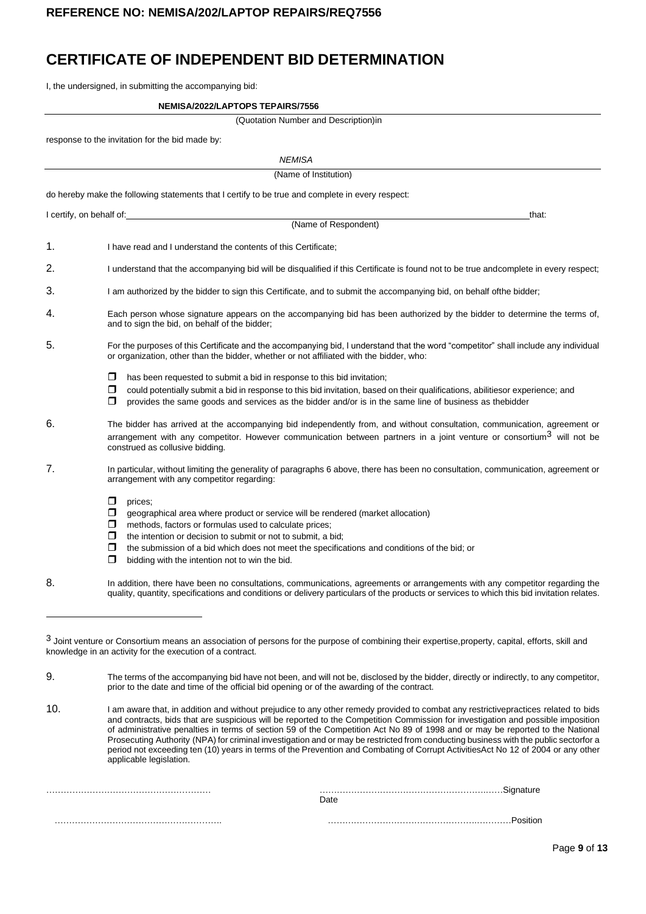# **CERTIFICATE OF INDEPENDENT BID DETERMINATION**

I, the undersigned, in submitting the accompanying bid:

#### **NEMISA/2022/LAPTOPS TEPAIRS/7556**

|  | (Quotation Number and Description)in |  |  |  |  |  |
|--|--------------------------------------|--|--|--|--|--|
|--|--------------------------------------|--|--|--|--|--|

response to the invitation for the bid made by:

|                          | <b>NEMISA</b>                                                                                                                                                                                                                                                                                                                                                                                                  |
|--------------------------|----------------------------------------------------------------------------------------------------------------------------------------------------------------------------------------------------------------------------------------------------------------------------------------------------------------------------------------------------------------------------------------------------------------|
|                          | (Name of Institution)                                                                                                                                                                                                                                                                                                                                                                                          |
|                          | do hereby make the following statements that I certify to be true and complete in every respect:                                                                                                                                                                                                                                                                                                               |
| I certify, on behalf of: | that:                                                                                                                                                                                                                                                                                                                                                                                                          |
|                          | (Name of Respondent)                                                                                                                                                                                                                                                                                                                                                                                           |
| 1.                       | I have read and I understand the contents of this Certificate;                                                                                                                                                                                                                                                                                                                                                 |
| 2.                       | I understand that the accompanying bid will be disqualified if this Certificate is found not to be true andcomplete in every respect;                                                                                                                                                                                                                                                                          |
| 3.                       | I am authorized by the bidder to sign this Certificate, and to submit the accompanying bid, on behalf of the bidder;                                                                                                                                                                                                                                                                                           |
| 4.                       | Each person whose signature appears on the accompanying bid has been authorized by the bidder to determine the terms of,<br>and to sign the bid, on behalf of the bidder;                                                                                                                                                                                                                                      |
| 5.                       | For the purposes of this Certificate and the accompanying bid, I understand that the word "competitor" shall include any individual<br>or organization, other than the bidder, whether or not affiliated with the bidder, who:                                                                                                                                                                                 |
|                          | has been requested to submit a bid in response to this bid invitation;<br>□<br>□<br>could potentially submit a bid in response to this bid invitation, based on their qualifications, abilitiesor experience; and<br>provides the same goods and services as the bidder and/or is in the same line of business as the bidder<br>□                                                                              |
| 6.                       | The bidder has arrived at the accompanying bid independently from, and without consultation, communication, agreement or<br>arrangement with any competitor. However communication between partners in a joint venture or consortium <sup>3</sup> will not be<br>construed as collusive bidding.                                                                                                               |
| 7.                       | In particular, without limiting the generality of paragraphs 6 above, there has been no consultation, communication, agreement or<br>arrangement with any competitor regarding:                                                                                                                                                                                                                                |
|                          | □<br>prices;<br>$\Box$<br>geographical area where product or service will be rendered (market allocation)<br>methods, factors or formulas used to calculate prices;<br>□<br>□<br>the intention or decision to submit or not to submit, a bid;<br>□<br>the submission of a bid which does not meet the specifications and conditions of the bid; or<br>$\Box$<br>bidding with the intention not to win the bid. |
| 8.                       | In addition, there have been no consultations, communications, agreements or arrangements with any competitor regarding the<br>quality, quantity, specifications and conditions or delivery particulars of the products or services to which this bid invitation relates.                                                                                                                                      |
|                          |                                                                                                                                                                                                                                                                                                                                                                                                                |

| Date |
|------|
|      |

<sup>3</sup> Joint venture or Consortium means an association of persons for the purpose of combining their expertise, property, capital, efforts, skill and knowledge in an activity for the execution of a contract.

<sup>9.</sup> The terms of the accompanying bid have not been, and will not be, disclosed by the bidder, directly or indirectly, to any competitor, prior to the date and time of the official bid opening or of the awarding of the contract.

<sup>10.</sup> I am aware that, in addition and without prejudice to any other remedy provided to combat any restrictivepractices related to bids and contracts, bids that are suspicious will be reported to the Competition Commission for investigation and possible imposition of administrative penalties in terms of section 59 of the Competition Act No 89 of 1998 and or may be reported to the National Prosecuting Authority (NPA) for criminal investigation and or may be restricted from conducting business with the public sectorfor a period not exceeding ten (10) years in terms of the Prevention and Combating of Corrupt ActivitiesAct No 12 of 2004 or any other applicable legislation.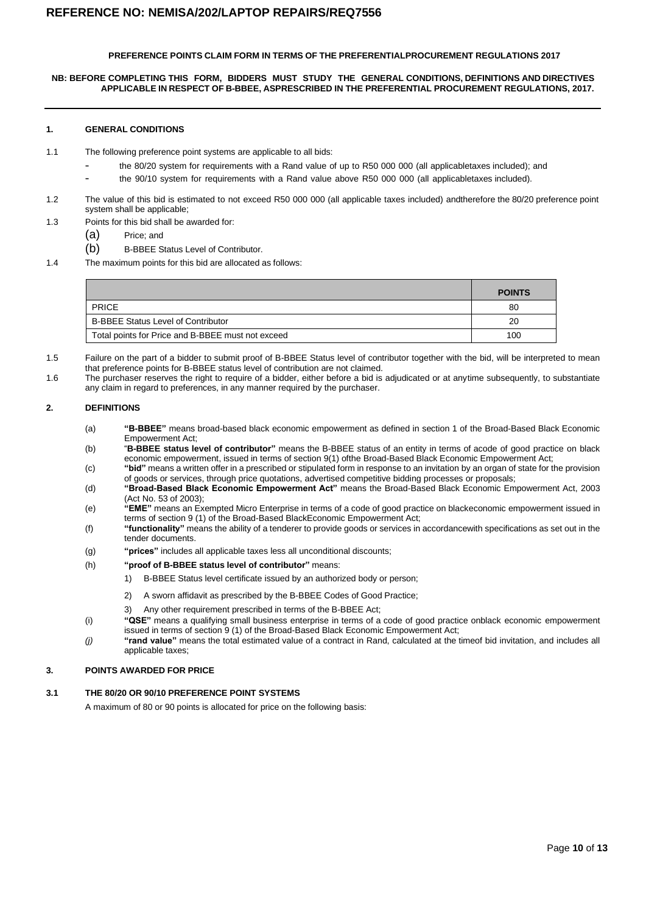#### **PREFERENCE POINTS CLAIM FORM IN TERMS OF THE PREFERENTIALPROCUREMENT REGULATIONS 2017**

#### **NB: BEFORE COMPLETING THIS FORM, BIDDERS MUST STUDY THE GENERAL CONDITIONS, DEFINITIONS AND DIRECTIVES APPLICABLE IN RESPECT OF B-BBEE, ASPRESCRIBED IN THE PREFERENTIAL PROCUREMENT REGULATIONS, 2017.**

#### **1. GENERAL CONDITIONS**

- 1.1 The following preference point systems are applicable to all bids:
	- the 80/20 system for requirements with a Rand value of up to R50 000 000 (all applicabletaxes included); and
	- the 90/10 system for requirements with a Rand value above R50 000 000 (all applicabletaxes included).
- 1.2 The value of this bid is estimated to not exceed R50 000 000 (all applicable taxes included) andtherefore the 80/20 preference point system shall be applicable;
- 1.3 Points for this bid shall be awarded for:
	- (a) Price; and
	- (b) B-BBEE Status Level of Contributor.
- 1.4 The maximum points for this bid are allocated as follows:

|                                                   | <b>POINTS</b> |
|---------------------------------------------------|---------------|
| <b>PRICE</b>                                      | 80            |
| <b>B-BBEE Status Level of Contributor</b>         | 20            |
| Total points for Price and B-BBEE must not exceed | 100           |

- 1.5 Failure on the part of a bidder to submit proof of B-BBEE Status level of contributor together with the bid, will be interpreted to mean that preference points for B-BBEE status level of contribution are not claimed.
- 1.6 The purchaser reserves the right to require of a bidder, either before a bid is adjudicated or at anytime subsequently, to substantiate any claim in regard to preferences, in any manner required by the purchaser.

#### **2. DEFINITIONS**

- (a) **"B-BBEE"** means broad-based black economic empowerment as defined in section 1 of the Broad-Based Black Economic Empowerment Act;
- (b) "**B-BBEE status level of contributor"** means the B-BBEE status of an entity in terms of acode of good practice on black economic empowerment, issued in terms of section 9(1) ofthe Broad-Based Black Economic Empowerment Act;
- (c) **"bid"** means a written offer in a prescribed or stipulated form in response to an invitation by an organ of state for the provision of goods or services, through price quotations, advertised competitive bidding processes or proposals;
- (d) **"Broad-Based Black Economic Empowerment Act"** means the Broad-Based Black Economic Empowerment Act, 2003 (Act No. 53 of 2003);
- (e) **"EME"** means an Exempted Micro Enterprise in terms of a code of good practice on blackeconomic empowerment issued in terms of section 9 (1) of the Broad-Based BlackEconomic Empowerment Act;
- (f) **"functionality"** means the ability of a tenderer to provide goods or services in accordancewith specifications as set out in the tender documents.
- (g) **"prices"** includes all applicable taxes less all unconditional discounts;
- (h) **"proof of B-BBEE status level of contributor"** means:
	- 1) B-BBEE Status level certificate issued by an authorized body or person;
	- 2) A sworn affidavit as prescribed by the B-BBEE Codes of Good Practice;
	- 3) Any other requirement prescribed in terms of the B-BBEE Act;
- (i) **"QSE"** means a qualifying small business enterprise in terms of a code of good practice onblack economic empowerment
- issued in terms of section 9 (1) of the Broad-Based Black Economic Empowerment Act; *(j)* **"rand value"** means the total estimated value of a contract in Rand, calculated at the timeof bid invitation, and includes all applicable taxes;

#### **3. POINTS AWARDED FOR PRICE**

#### **3.1 THE 80/20 OR 90/10 PREFERENCE POINT SYSTEMS**

A maximum of 80 or 90 points is allocated for price on the following basis: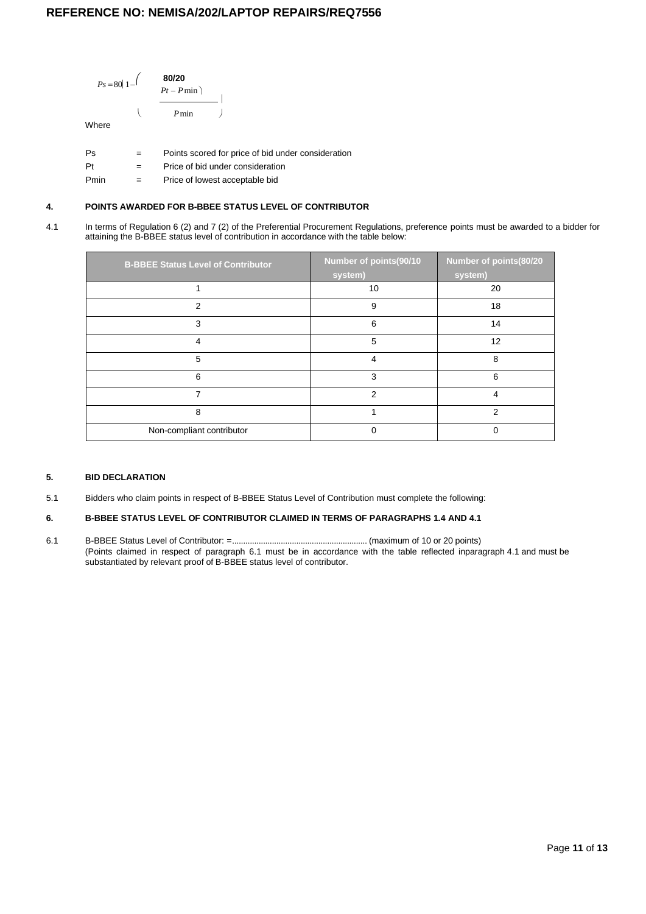

#### **4. POINTS AWARDED FOR B-BBEE STATUS LEVEL OF CONTRIBUTOR**

4.1 In terms of Regulation 6 (2) and 7 (2) of the Preferential Procurement Regulations, preference points must be awarded to a bidder for attaining the B-BBEE status level of contribution in accordance with the table below:

| <b>B-BBEE Status Level of Contributor</b> | Number of points(90/10<br>system) | Number of points(80/20<br>system) |
|-------------------------------------------|-----------------------------------|-----------------------------------|
|                                           | 10                                | 20                                |
| 2                                         | 9                                 | 18                                |
| 3                                         | 6                                 | 14                                |
| 4                                         | 5                                 | 12                                |
| 5                                         | 4                                 | 8                                 |
| 6                                         | 3                                 | 6                                 |
| 7                                         | $\mathcal{P}$                     | 4                                 |
| 8                                         |                                   | 2                                 |
| Non-compliant contributor                 |                                   |                                   |

#### **5. BID DECLARATION**

5.1 Bidders who claim points in respect of B-BBEE Status Level of Contribution must complete the following:

#### **6. B-BBEE STATUS LEVEL OF CONTRIBUTOR CLAIMED IN TERMS OF PARAGRAPHS 1.4 AND 4.1**

6.1 B-BBEE Status Level of Contributor: =............................................................. (maximum of 10 or 20 points) (Points claimed in respect of paragraph 6.1 must be in accordance with the table reflected inparagraph 4.1 and must be substantiated by relevant proof of B-BBEE status level of contributor.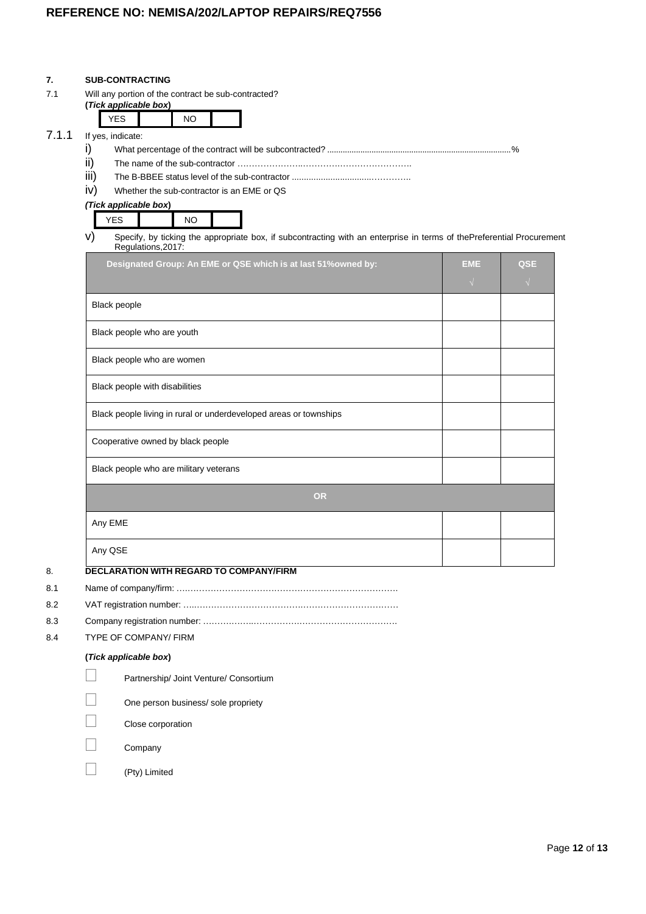#### **7. SUB-CONTRACTING**

7.1 Will any portion of the contract be sub-contracted?

| (Tick applicable box) |     |  |
|-----------------------|-----|--|
|                       | NIC |  |

# 7.1.1 If yes, indicate:

- i) What percentage of the contract will be subcontracted? ...................................................................................%
- ii) The name of the sub-contractor …………………..………….…………………….
- iii) The B-BBEE status level of the sub-contractor .................................…………..
- iv) Whether the sub-contractor is an EME or QS

#### *(Tick applicable box***)**

| -<br>$\cdot$ . $\sim$<br>$\cdot$ $ -$ |
|---------------------------------------|
|---------------------------------------|

v) Specify, by ticking the appropriate box, if subcontracting with an enterprise in terms of thePreferential Procurement Regulations,2017:

| Designated Group: An EME or QSE which is at last 51% owned by:    | <b>EME</b><br>$\sqrt{ }$ | QSE<br>$\sqrt{ }$ |
|-------------------------------------------------------------------|--------------------------|-------------------|
| Black people                                                      |                          |                   |
| Black people who are youth                                        |                          |                   |
| Black people who are women                                        |                          |                   |
| Black people with disabilities                                    |                          |                   |
| Black people living in rural or underdeveloped areas or townships |                          |                   |
| Cooperative owned by black people                                 |                          |                   |
| Black people who are military veterans                            |                          |                   |
| <b>OR</b>                                                         |                          |                   |
| Any EME                                                           |                          |                   |
| Any QSE                                                           |                          |                   |

- 8.1 Name of company/firm: ….……………………………………………………………….
- 
- 8.2 VAT registration number: …..……………………………….…………………………… 8.3 Company registration number: ……….……..…………….…………………………….
- 
- 8.4 TYPE OF COMPANY/ FIRM

#### **(***Tick applicable box***)**

| Partnership/ Joint Venture/ Consortium |
|----------------------------------------|
| One person business/ sole propriety    |
| Close corporation                      |
|                                        |

 $\Box$  Company

(Pty) Limited